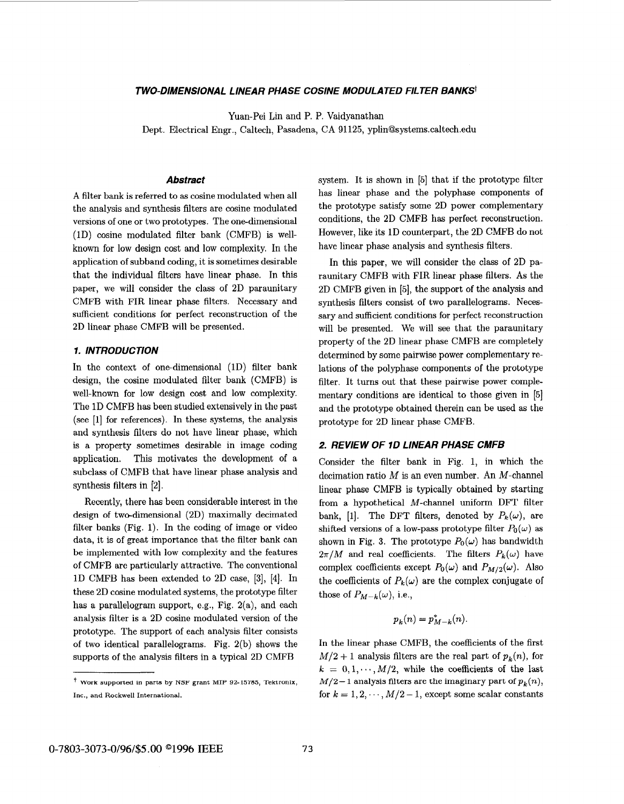## *TWO-DIMENSIONAL LINEAR PHASE COSINE MODULATED FILTER BANKS1*

Yuan-Pei Lin and P. P. Vaidyanathan

Dept. Electrical Engr., Caltech, Pasadena, CA 91125, **[yplin@systems.caltech.edu](mailto:yplin@systems.caltech.edu)** 

# *Abstract*

**A** filter bank is referred to **as** cosine modulated when all the analysis and synthesis filters are cosine modulated versions of one or two prototypes. The one-dimensional (1D) cosine modulated filter bank (CMFB) is wellknown for low design cost and low complexity. In the application of subband coding, it is sometimes desirable that the individual filters have linear phase. In this paper, we will consider the class of **2D** paraunitary CMFB with FIR linear phase filters. Necessary and sufficient conditions for perfect reconstruction of the **2D** linear phase CMFB will be presented.

## *1. INTRODUCTION*

In the context of one-dimensional (1D) filter bank design, the cosine modulated filter bank (CMFB) is well-known for low design cost and low complexity. The **1D** CMFB has been studied extensively in the past (see [l] for references). In these systems, the analysis and synthesis filters do not have linear phase, which is a property sometimes desirable in image coding application. This motivates the development **of** a subclass of CMFB that have linear phase analysis and synthesis filters in [2].

Recently, there has been considerable interest in the design of two-dimensional (2D) maximally decimated filter banks (Fig. 1). In the coding of image or video data, it is of great importance that the filter bank can be implemented with low complexity and the features of CMFB are particularly attractive. The conventional 1D CMFB has been extended to 2D case, **[3], [4].** In these 2D cosine modulated systems, the prototype filter has a parallelogram support, e.g., Fig. 2(a), and each analysis filter is a 2D cosine modulated version of the prototype. The support of each analysis filter consists of two identical parallelograms. Fig. 2(b) shows the supports of the analysis filters in a typical 2D CMFB

system. It is shown in [5] that if the prototype filter has linear phase and the polyphase components of the prototype satisfy some 2D power complementary conditions, the **2D** CMFB has perfect reconstruction. However, like its 1D counterpart, the 2D CMFB do not have linear phase analysis and synthesis filters.

In this paper, we will consider the class of **2D** paraunitary CMFB with FIR linear phase filters. As the 2D CMFB given in [5], the support of the analysis and synthesis filters consist of two parallelograms. Necessary and sufficient conditions for perfect reconstruction will be presented. We will see that the paraunitary property of the 2D linear phase CMFB are completely determined by some pairwise power complementary relations of the polyphase components of the prototype filter. It turns out that these pairwise power complementary conditions are identical to those given in [5] and the prototype obtained therein can be used **as** the prototype for 2D linear phase CMFB.

# *2. REVIEW OF 1D LINEAR PHASE CMFB*

Consider the filter bank in Fig. 1, in which the decimation ratio  $M$  is an even number. An  $M$ -channel linear phase CMFB is typically obtained by starting from a hypothetical M-channel uniform DFT filter bank, [1]. The DFT filters, denoted by  $P_k(\omega)$ , are shifted versions of a low-pass prototype filter  $P_0(\omega)$  as shown in [Fig.](#page-3-0) 3. The prototype  $P_0(\omega)$  has bandwidth  $2\pi/M$  and real coefficients. The filters  $P_k(\omega)$  have complex coefficients except  $P_0(\omega)$  and  $P_{M/2}(\omega)$ . Also the coefficients of  $P_k(\omega)$  are the complex conjugate of those of  $P_{M-k}(\omega)$ , i.e.,

$$
p_k(n) = p_{M-k}^*(n).
$$

In the linear phase CMFB, the coefficients of the first  $M/2 + 1$  analysis filters are the real part of  $p_k(n)$ , for  $k = 0, 1, \dots, M/2$ , while the coefficients of the last  $M/2-1$  analysis filters are the imaginary part of  $p_k(n)$ , for  $k = 1, 2, \dots, M/2 - 1$ , except some scalar constants

<sup>+</sup>**Work supported in parts by NSF grant MIP** *92-15785,* **Tektronix, Inc., and Rockwell International.**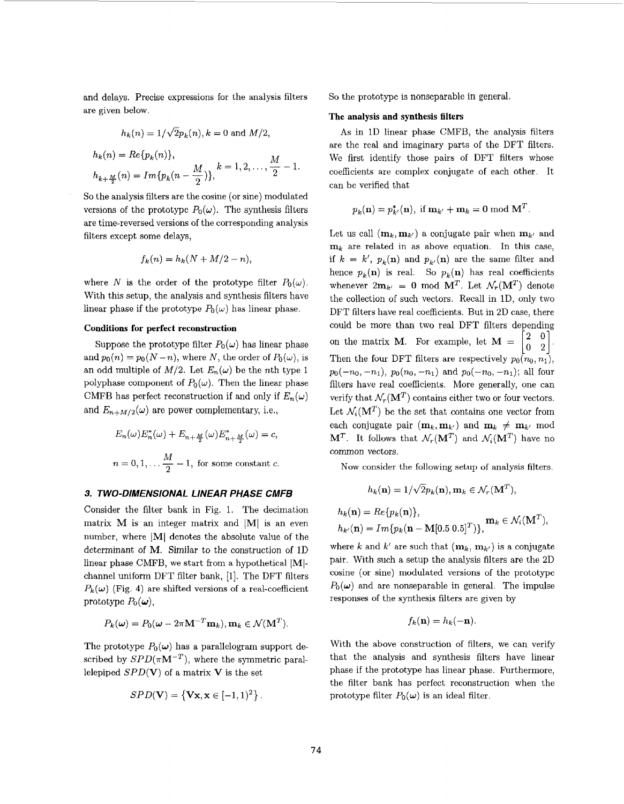and delays. Precise expressions for the analysis filters are given below.

$$
h_k(n) = 1/\sqrt{2}p_k(n), k = 0 \text{ and } M/2,
$$
  

$$
h_k(n) = Re\{p_k(n)\},
$$

$$
h_{k+\frac{M}{2}}(n) = Im\{p_k(n-\frac{M}{2})\}, \qquad k = 1, 2, \ldots, \frac{M}{2} - 1.
$$

So the analysis filters are the cosine (or sine) modulated versions of the prototype  $P_0(\omega)$ . The synthesis filters are time-reversed versions of the corresponding analysis filters except some delays,

$$
f_k(n) = h_k(N + M/2 - n),
$$

where *N* is the order of the prototype filter  $P_0(\omega)$ . With this setup, the analysis and synthesis filters have linear phase if the prototype  $P_0(\omega)$  has linear phase.

#### **Conditions for perfect reconstruction**

Suppose the prototype filter  $P_0(\omega)$  has linear phase and  $p_0(n) = p_0(N-n)$ , where *N*, the order of  $P_0(\omega)$ , is an odd multiple of  $M/2$ . Let  $E_n(\omega)$  be the *n*th type 1 polyphase component of  $P_0(\omega)$ . Then the linear phase CMFB has perfect reconstruction if and only if  $E_n(\omega)$ and  $E_{n+M/2}(\omega)$  are power complementary, i.e.,

$$
E_n(\omega)E_n^*(\omega) + E_{n + \frac{M}{2}}(\omega)E_{n + \frac{M}{2}}^*(\omega) = c,
$$
  

$$
n = 0, 1, \dots \frac{M}{2} - 1
$$
, for some constant c.

## *3. TWO-DIMENSIONAL LINEAR PHASE CMFB*

Consider the filter bank in Fig. 1. The decimation matrix  $M$  is an integer matrix and  $|M|$  is an even number, where IM) denotes the absolute value of the determinant of **M.** Similar to the construction of 1D linear phase CMFB, we start from a hypothetical  $[M]$ channel uniform DFT filter bank, [l]. The DFT filters  $P_k(\omega)$  (Fig. 4) are shifted versions of a real-coefficient prototype  $P_0(\boldsymbol{\omega})$ ,

$$
P_k(\boldsymbol{\omega}) = P_0(\boldsymbol{\omega} - 2\pi \mathbf{M}^{-T} \mathbf{m}_k), \mathbf{m}_k \in \mathcal{N}(\mathbf{M}^T).
$$

The prototype  $P_0(\omega)$  has a parallelogram support described by  $SPD(\pi M^{-T})$ , where the symmetric parallelepiped  $SPD(V)$  of a matrix V is the set

$$
SPD(\mathbf{V}) = \{ \mathbf{Vx}, \mathbf{x} \in [-1,1)^2 \}.
$$

So the prototype is nonseparable in general.

#### **The analysis and synthesis filters**

As in 1D linear phase CMFB, the analysis filters are the real and imaginary parts of the DFT filters. We first identify those pairs of DFT filters whose coefficients are complex conjugate of each other. It can be verified that

$$
p_k(\mathbf{n}) = p_{k'}^*(\mathbf{n}), \text{ if } \mathbf{m}_{k'} + \mathbf{m}_k = 0 \text{ mod } \mathbf{M}^T.
$$

Let us call  $(\mathbf{m}_k, \mathbf{m}_{k'})$  a conjugate pair when  $\mathbf{m}_{k'}$  and  $m_k$  are related in as above equation. In this case, if  $k = k'$ ,  $p_k(\mathbf{n})$  and  $p_{k'}(\mathbf{n})$  are the same filter and hence  $p_k(\mathbf{n})$  is real. So  $p_k(\mathbf{n})$  has real coefficients whenever  $2m_{k'} = 0 \text{ mod } M^T$ . Let  $\mathcal{N}_r(M^T)$  denote the collection of such vectors. Recall in lD, only two DFT filters have real coefficients. But in 2D case, there could be more than two real DFT filters depending on the matrix  $\mathbf{M}$  . For example, let  $\mathbf{M}$  = Then the four DFT filters are respectively  $p_0(n_0, n_1)$ ,  $p_0(-n_0, -n_1)$ ,  $p_0(n_0, -n_1)$  and  $p_0(-n_0, -n_1)$ ; all four filters have real coefficients. More generally, one can verify that  $\mathcal{N}_r(\mathbf{M}^T)$  contains either two or four vectors. Let  $\mathcal{N}_i(\mathbf{M}^T)$  be the set that contains one vector from each conjugate pair  $(\mathbf{m}_k, \mathbf{m}_{k'})$  and  $\mathbf{m}_k \neq \mathbf{m}_{k'}$  mod  $M^T$ . It follows that  $\mathcal{N}_r(M^T)$  and  $\mathcal{N}_i(M^T)$  have no common vectors.  $\begin{bmatrix} 2 & 0 \\ 0 & 2 \end{bmatrix}$ .

Now consider the following setup of analysis filters.

$$
h_k(\mathbf{n}) = 1/\sqrt{2}p_k(\mathbf{n}), \mathbf{m}_k \in \mathcal{N}_r(\mathbf{M}^T),
$$
  

$$
h_k(\mathbf{n}) = Re\{p_k(\mathbf{n})\},
$$
  

$$
h_{k'}(\mathbf{n}) = Im\{p_k(\mathbf{n} - \mathbf{M}[0.5 \ 0.5]^T)\},
$$
  

$$
\mathbf{m}_k \in \mathcal{N}_i(\mathbf{M}^T),
$$

where k and  $k'$  are such that  $(\mathbf{m}_k, \mathbf{m}_{k'})$  is a conjugate pair. With such a setup the analysis filters are the 2D cosine (or sine) modulated versions of the prototype  $P_0(\omega)$  and are nonseparable in general. The impulse responses of the synthesis filters are given by

$$
f_k(\mathbf{n}) = h_k(-\mathbf{n}).
$$

With the above construction of filters, we can verify that the analysis and synthesis filters have linear phase if the prototype has linear phase. Furthermore, the filter bank has perfect reconstruction when the prototype filter  $P_0(\omega)$  is an ideal filter.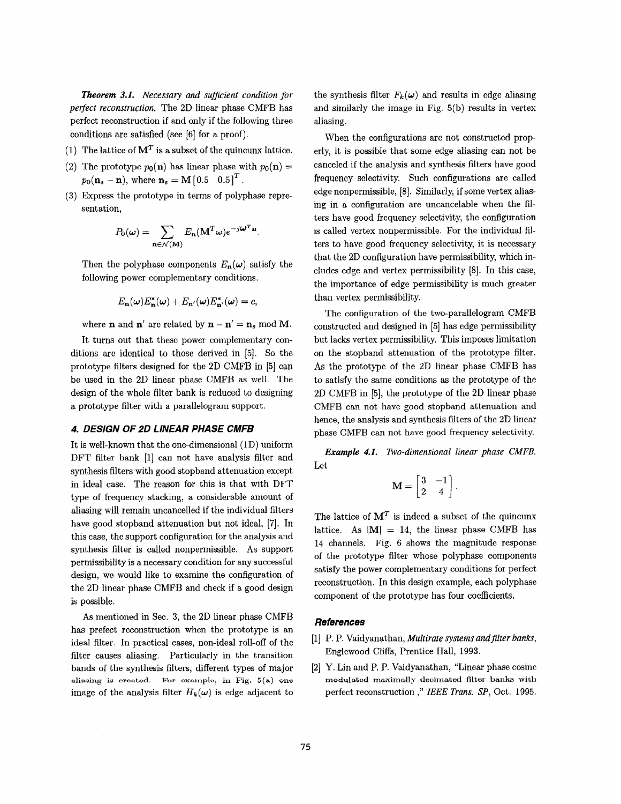<span id="page-2-0"></span>*Theorem 3.1. Necessary and sufficient condition for perfect reconstruction.* The 2D linear phase CMFB has perfect reconstruction if and only if the following three conditions are satisfied (see **[SI** for a proof).

- (1) The lattice of  $M<sup>T</sup>$  is a subset of the quincunx lattice.
- (2) The prototype  $p_0(\mathbf{n})$  has linear phase with  $p_0(\mathbf{n}) =$  $p_0(\mathbf{n}_s - \mathbf{n})$ , where  $\mathbf{n}_s = \mathbf{M} \begin{bmatrix} 0.5 & 0.5 \end{bmatrix}^T$ .
- Express the prototype in terms of polyphase representation.

$$
P_0(\boldsymbol{\omega}) = \sum_{\mathbf{n} \in \mathcal{N}(\mathbf{M})} E_{\mathbf{n}}(\mathbf{M}^T \boldsymbol{\omega}) e^{-j\boldsymbol{\omega}^T \mathbf{n}}.
$$

Then the polyphase components  $E_n(\omega)$  satisfy the following power complementary conditions.

$$
E_{\mathbf{n}}(\omega)E_{\mathbf{n}}^{*}(\omega)+E_{\mathbf{n}'}(\omega)E_{\mathbf{n}'}^{*}(\omega)=c,
$$

where **n** and **n'** are related by  $\mathbf{n} - \mathbf{n}' = \mathbf{n}_s \text{ mod } \mathbf{M}$ .

It turns out that these power complementary conditions are identical to those derived in [5]. So the prototype filters designed for the 2D CMFB in *[5]* can be used in the 2D linear phase CMFB as well. The design of the whole filter bank is reduced to designing a prototype filter with a parallelogram support.

# *4. DESIGN OF 20 LINEAR PHASE CMFB*

It is well-known that the one-dimensional (1D) uniform DFT filter bank [l] can not have analysis filter and synthesis filters with good stopband attenuation except in ideal case. The reason for this is that with DFT type of frequency stacking, a considerable amount of aliasing will remain uncancelled if the individual filters have good stopband attenuation but not ideal, *[7].* In this case, the support configuration for the analysis and synthesis filter is called nonpermissible. As support permissibility is a necessary condition for any successful design, we would like to examine the configuration of the 2D linear phase CMFB and check if a good design is possible.

**As** mentioned in Sec. **3,** the 2D linear phase CMFB has prefect reconstruction when the prototype is an ideal filter. In practical cases, non-ideal roll-off of the filter causes aliasing. Particularly in the transition bands of the synthesis filters, different types of major image of the analysis filter  $H_k(\omega)$  is edge adjacent to **aliasing is created. For example, in Fig. 5(a) one**  the synthesis filter  $F_k(\omega)$  and results in edge aliasing and similarly the image in Fig. **5(b)** results in vertex aliasing.

When the configurations are not constructed prop erly, it is possible that some edge aliasing can not be canceled if the analysis and synthesis filters have good frequency selectivity. Such configurations are called edge nonpermissible, [8]. Similarly, if some vertex aliasing in a configuration are uncancelable when the filters have good frequency selectivity, the configuration is called vertex nonpermissible. For the individual filters to have good frequency selectivity, it is necessary that the 2D configuration have permissibility, which includes edge and vertex permissibility [8]. In this case, the importance of edge permissibility is much greater than vertex permissibility.

The configuration of the two-parallelogram CMFB constructed and designed in **[5]** has edge permissibility but lacks vertex permissibility. This imposes limitation on the stopband attenuation of the prototype filter. As the prototype of the 2D linear phase CMFB has to satisfy the same conditions as the prototype of the 2D CMFB in *[5],* the prototype of the 2D linear phase CMFB can not have good stopband attenuation and hence, the analysis and synthesis filters of the 2D linear phase CMFB can not have good frequency selectivity.

*Example 4.1. Two-dimensional linear phase CMFB.* Let

$$
\mathbf{M} = \begin{bmatrix} 3 & -1 \\ 2 & 4 \end{bmatrix}.
$$

The lattice of  $M<sup>T</sup>$  is indeed a subset of the quincunx lattice. As  $|M| = 14$ , the linear phase CMFB has 14 channels. [Fig.](#page-3-0) **6** shows the magnitude response of the prototype filter whose polyphase components satisfy the power complementary conditions for perfect reconstruction. In this design example, each polyphase component of the prototype has four coefficients.

# *References*

- [1] P. P. Vaidyanathan, *Multirate systems and filter banks*, Englewood Cliffs, Prentice Hall, **1993.**
- [2] *Y.* Lin and P. P. Vaidyanathan, "Linear phase cosine perfect reconstruction ," *IEEE Trans. SP,* Oct. **1995. modulated maximally decimated filter** banks **with**